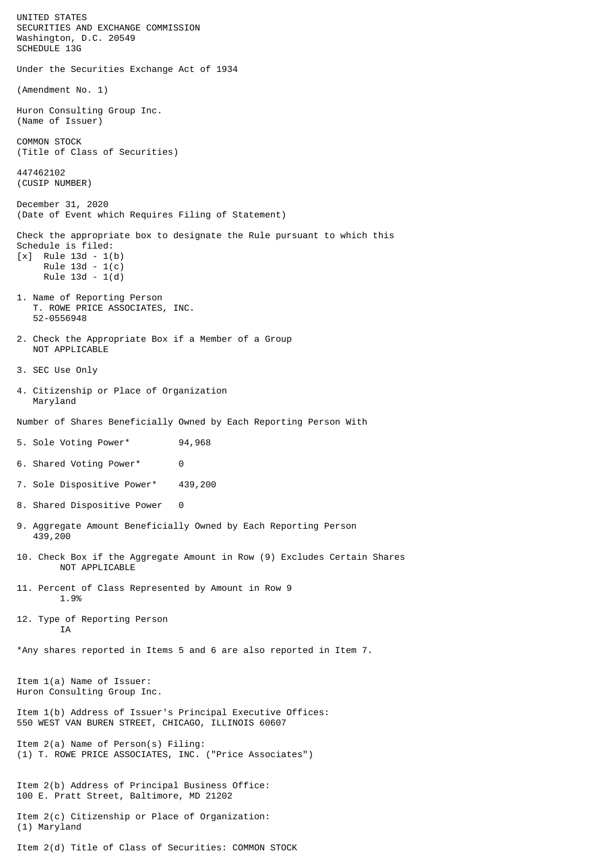UNITED STATES SECURITIES AND EXCHANGE COMMISSION Washington, D.C. 20549 SCHEDULE 13G Under the Securities Exchange Act of 1934 (Amendment No. 1) Huron Consulting Group Inc. (Name of Issuer) COMMON STOCK (Title of Class of Securities) 447462102 (CUSIP NUMBER) December 31, 2020 (Date of Event which Requires Filing of Statement) Check the appropriate box to designate the Rule pursuant to which this Schedule is filed: [x] Rule 13d - 1(b) Rule 13d - 1(c) Rule 13d - 1(d) 1. Name of Reporting Person T. ROWE PRICE ASSOCIATES, INC. 52-0556948 2. Check the Appropriate Box if a Member of a Group NOT APPLICABLE 3. SEC Use Only 4. Citizenship or Place of Organization Maryland Number of Shares Beneficially Owned by Each Reporting Person With 5. Sole Voting Power\* 94,968 6. Shared Voting Power\* 0 7. Sole Dispositive Power\* 439,200 8. Shared Dispositive Power 0 9. Aggregate Amount Beneficially Owned by Each Reporting Person 439,200 10. Check Box if the Aggregate Amount in Row (9) Excludes Certain Shares NOT APPLICABLE 11. Percent of Class Represented by Amount in Row 9 1.9% 12. Type of Reporting Person **TA** \*Any shares reported in Items 5 and 6 are also reported in Item 7. Item 1(a) Name of Issuer: Huron Consulting Group Inc. Item 1(b) Address of Issuer's Principal Executive Offices: 550 WEST VAN BUREN STREET, CHICAGO, ILLINOIS 60607 Item 2(a) Name of Person(s) Filing: (1) T. ROWE PRICE ASSOCIATES, INC. ("Price Associates") Item 2(b) Address of Principal Business Office: 100 E. Pratt Street, Baltimore, MD 21202 Item 2(c) Citizenship or Place of Organization: (1) Maryland Item 2(d) Title of Class of Securities: COMMON STOCK